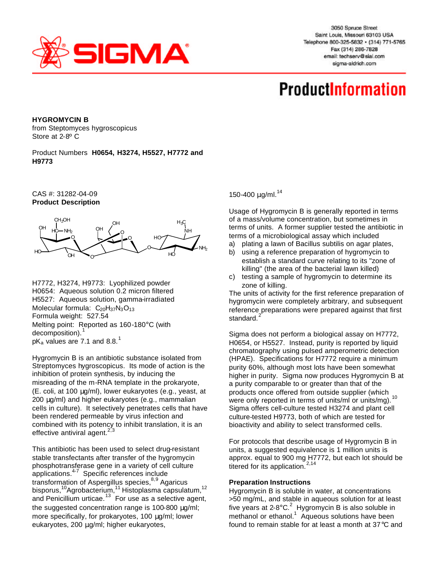

3050 Spruce Street Saint Louis, Missouri 63103 USA Telephone 800-325-5832 · (314) 771-5765 Fax (314) 286-7828 email: techserv@sial.com sigma-aldrich.com

## **ProductInformation**

**HYGROMYCIN B**

from Steptomyces hygroscopicus Store at 2-8º C

Product Numbers **H0654, H3274, H5527, H7772 and H9773**

CAS #: 31282-04-09 **Product Description**



H7772, H3274, H9773: Lyophilized powder H0654: Aqueous solution 0.2 micron filtered H5527: Aqueous solution, gamma-irradiated Molecular formula:  $C_{20}H_{37}N_3O_{13}$ Formula weight: 527.54 Melting point: Reported as 160-180°C (with decomposition).<sup>1</sup>  $pK_a$  values are 7.1 and 8.8.<sup>1</sup>

Hygromycin B is an antibiotic substance isolated from Streptomyces hygroscopicus. Its mode of action is the inhibition of protein synthesis, by inducing the misreading of the m-RNA template in the prokaryote, (E. coli, at 100 μg/ml), lower eukaryotes (e.g., yeast, at 200 μg/ml) and higher eukaryotes (e.g., mammalian cells in culture). It selectively penetrates cells that have been rendered permeable by virus infection and combined with its potency to inhibit translation, it is an effective antiviral agent. $2,3$ 

This antibiotic has been used to select drug-resistant stable transfectants after transfer of the hygromycin phosphotransferase gene in a variety of cell culture applications.4-7 Specific references include transformation of Aspergillus species,<sup>8,9</sup> Agaricus bisporus,<sup>10</sup>Agrobacterium,<sup>11</sup> Histoplasma capsulatum,<sup>12</sup> and Penicillium urticae.<sup>13</sup> For use as a selective agent, the suggested concentration range is 100-800 μg/ml; more specifically, for prokaryotes, 100 μg/ml; lower eukaryotes, 200 μg/ml; higher eukaryotes,

150-400  $μq/ml.<sup>14</sup>$ 

Usage of Hygromycin B is generally reported in terms of a mass/volume concentration, but sometimes in terms of units. A former supplier tested the antibiotic in terms of a microbiological assay which included

- a) plating a lawn of Bacillus subtilis on agar plates,
- b) using a reference preparation of hygromycin to establish a standard curve relating to its "zone of killing" (the area of the bacterial lawn killed)
- c) testing a sample of hygromycin to determine its zone of killing.

The units of activity for the first reference preparation of hygromycin were completely arbitrary, and subsequent reference preparations were prepared against that first standard.

Sigma does not perform a biological assay on H7772, H0654, or H5527. Instead, purity is reported by liquid chromatography using pulsed amperometric detection (HPAE). Specifications for H7772 require a minimum purity 60%, although most lots have been somewhat higher in purity. Sigma now produces Hygromycin B at a purity comparable to or greater than that of the products once offered from outside supplier (which were only reported in terms of units/ml or units/mg).<sup>10</sup> Sigma offers cell-culture tested H3274 and plant cell culture-tested H9773, both of which are tested for bioactivity and ability to select transformed cells.

For protocols that describe usage of Hygromycin B in units, a suggested equivalence is 1 million units is approx. equal to 900 mg H7772, but each lot should be titered for its application.  $2,14$ 

## **Preparation Instructions**

Hygromycin B is soluble in water, at concentrations >50 mg/mL, and stable in aqueous solution for at least five years at 2-8 $^{\circ}$ C.<sup>2</sup> Hygromycin B is also soluble in methanol or ethanol.<sup>1</sup> Aqueous solutions have been found to remain stable for at least a month at 37°C and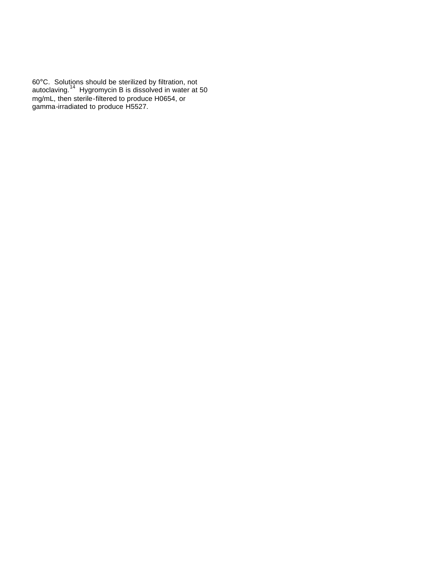60°C. Solutions should be sterilized by filtration, not autoclaving.<sup>14</sup> Hygromycin B is dissolved in water at 50 mg/mL, then sterile-filtered to produce H0654, or gamma-irradiated to produce H5527.